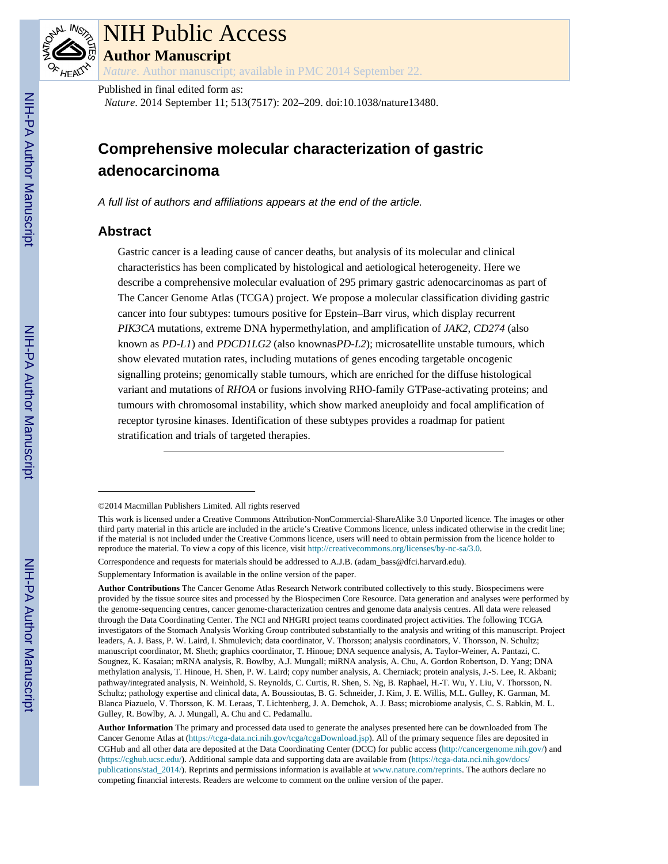

# NIH Public Access **Author Manuscript**

*Nature*. Author manuscript; available in PMC 2014 September 22.

Published in final edited form as:

*Nature*. 2014 September 11; 513(7517): 202–209. doi:10.1038/nature13480.

# **Comprehensive molecular characterization of gastric adenocarcinoma**

A full list of authors and affiliations appears at the end of the article.

# **Abstract**

Gastric cancer is a leading cause of cancer deaths, but analysis of its molecular and clinical characteristics has been complicated by histological and aetiological heterogeneity. Here we describe a comprehensive molecular evaluation of 295 primary gastric adenocarcinomas as part of The Cancer Genome Atlas (TCGA) project. We propose a molecular classification dividing gastric cancer into four subtypes: tumours positive for Epstein–Barr virus, which display recurrent *PIK3CA* mutations, extreme DNA hypermethylation, and amplification of *JAK2*, *CD274* (also known as *PD-L1*) and *PDCD1LG2* (also knownas*PD-L2*); microsatellite unstable tumours, which show elevated mutation rates, including mutations of genes encoding targetable oncogenic signalling proteins; genomically stable tumours, which are enriched for the diffuse histological variant and mutations of *RHOA* or fusions involving RHO-family GTPase-activating proteins; and tumours with chromosomal instability, which show marked aneuploidy and focal amplification of receptor tyrosine kinases. Identification of these subtypes provides a roadmap for patient stratification and trials of targeted therapies.

Supplementary Information is available in the online version of the paper.

<sup>©2014</sup> Macmillan Publishers Limited. All rights reserved

This work is licensed under a Creative Commons Attribution-NonCommercial-ShareAlike 3.0 Unported licence. The images or other third party material in this article are included in the article's Creative Commons licence, unless indicated otherwise in the credit line; if the material is not included under the Creative Commons licence, users will need to obtain permission from the licence holder to reproduce the material. To view a copy of this licence, visit [http://creativecommons.org/licenses/by-nc-sa/3.0.](http://creativecommons.org/licenses/by-nc-sa/3.0)

Correspondence and requests for materials should be addressed to A.J.B. (adam\_bass@dfci.harvard.edu).

**Author Contributions** The Cancer Genome Atlas Research Network contributed collectively to this study. Biospecimens were provided by the tissue source sites and processed by the Biospecimen Core Resource. Data generation and analyses were performed by the genome-sequencing centres, cancer genome-characterization centres and genome data analysis centres. All data were released through the Data Coordinating Center. The NCI and NHGRI project teams coordinated project activities. The following TCGA investigators of the Stomach Analysis Working Group contributed substantially to the analysis and writing of this manuscript. Project leaders, A. J. Bass, P. W. Laird, I. Shmulevich; data coordinator, V. Thorsson; analysis coordinators, V. Thorsson, N. Schultz; manuscript coordinator, M. Sheth; graphics coordinator, T. Hinoue; DNA sequence analysis, A. Taylor-Weiner, A. Pantazi, C. Sougnez, K. Kasaian; mRNA analysis, R. Bowlby, A.J. Mungall; miRNA analysis, A. Chu, A. Gordon Robertson, D. Yang; DNA methylation analysis, T. Hinoue, H. Shen, P. W. Laird; copy number analysis, A. Cherniack; protein analysis, J.-S. Lee, R. Akbani; pathway/integrated analysis, N. Weinhold, S. Reynolds, C. Curtis, R. Shen, S. Ng, B. Raphael, H.-T. Wu, Y. Liu, V. Thorsson, N. Schultz; pathology expertise and clinical data, A. Boussioutas, B. G. Schneider, J. Kim, J. E. Willis, M.L. Gulley, K. Garman, M. Blanca Piazuelo, V. Thorsson, K. M. Leraas, T. Lichtenberg, J. A. Demchok, A. J. Bass; microbiome analysis, C. S. Rabkin, M. L. Gulley, R. Bowlby, A. J. Mungall, A. Chu and C. Pedamallu.

**Author Information** The primary and processed data used to generate the analyses presented here can be downloaded from The Cancer Genome Atlas at [\(https://tcga-data.nci.nih.gov/tcga/tcgaDownload.jsp](https://tcga-data.nci.nih.gov/tcga/tcgaDownload.jsp)). All of the primary sequence files are deposited in CGHub and all other data are deposited at the Data Coordinating Center (DCC) for public access [\(http://cancergenome.nih.gov/\)](http://cancergenome.nih.gov/) and (<https://cghub.ucsc.edu/>). Additional sample data and supporting data are available from [\(https://tcga-data.nci.nih.gov/docs/](https://tcga-data.nci.nih.gov/docs/publications/stad_2014/) [publications/stad\\_2014/](https://tcga-data.nci.nih.gov/docs/publications/stad_2014/)). Reprints and permissions information is available at www.nature.com/reprints. The authors declare no competing financial interests. Readers are welcome to comment on the online version of the paper.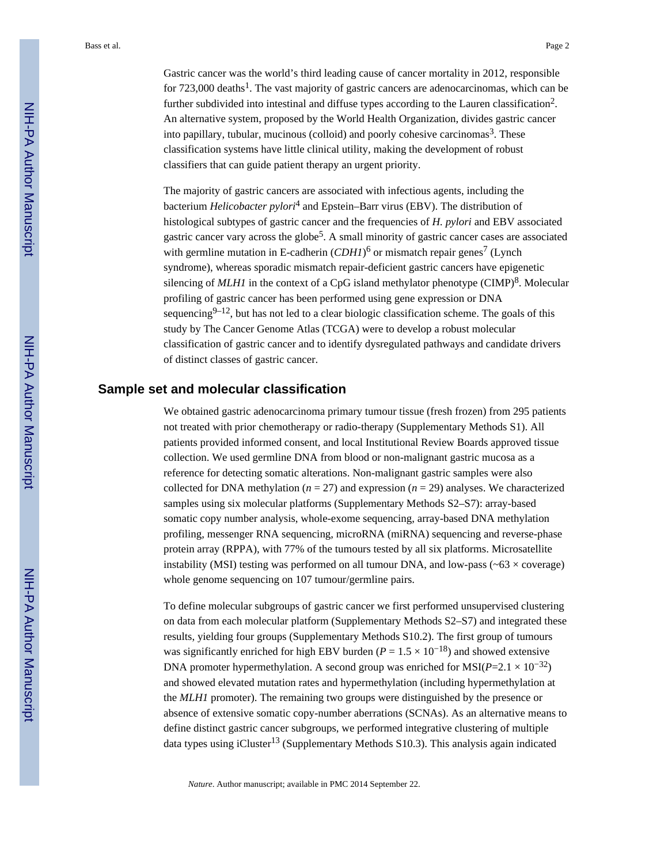Gastric cancer was the world's third leading cause of cancer mortality in 2012, responsible for 723,000 deaths<sup>1</sup>. The vast majority of gastric cancers are adenocarcinomas, which can be further subdivided into intestinal and diffuse types according to the Lauren classification<sup>2</sup>. An alternative system, proposed by the World Health Organization, divides gastric cancer into papillary, tubular, mucinous (colloid) and poorly cohesive carcinomas<sup>3</sup>. These

classification systems have little clinical utility, making the development of robust classifiers that can guide patient therapy an urgent priority.

The majority of gastric cancers are associated with infectious agents, including the bacterium *Helicobacter pylori*<sup>4</sup> and Epstein–Barr virus (EBV). The distribution of histological subtypes of gastric cancer and the frequencies of *H. pylori* and EBV associated gastric cancer vary across the globe<sup>5</sup>. A small minority of gastric cancer cases are associated with germline mutation in E-cadherin (*CDH1*)<sup>6</sup> or mismatch repair genes<sup>7</sup> (Lynch syndrome), whereas sporadic mismatch repair-deficient gastric cancers have epigenetic silencing of *MLH1* in the context of a CpG island methylator phenotype (CIMP)<sup>8</sup>. Molecular profiling of gastric cancer has been performed using gene expression or DNA sequencing<sup>9–12</sup>, but has not led to a clear biologic classification scheme. The goals of this study by The Cancer Genome Atlas (TCGA) were to develop a robust molecular classification of gastric cancer and to identify dysregulated pathways and candidate drivers of distinct classes of gastric cancer.

## **Sample set and molecular classification**

We obtained gastric adenocarcinoma primary tumour tissue (fresh frozen) from 295 patients not treated with prior chemotherapy or radio-therapy (Supplementary Methods S1). All patients provided informed consent, and local Institutional Review Boards approved tissue collection. We used germline DNA from blood or non-malignant gastric mucosa as a reference for detecting somatic alterations. Non-malignant gastric samples were also collected for DNA methylation  $(n = 27)$  and expression  $(n = 29)$  analyses. We characterized samples using six molecular platforms (Supplementary Methods S2–S7): array-based somatic copy number analysis, whole-exome sequencing, array-based DNA methylation profiling, messenger RNA sequencing, microRNA (miRNA) sequencing and reverse-phase protein array (RPPA), with 77% of the tumours tested by all six platforms. Microsatellite instability (MSI) testing was performed on all tumour DNA, and low-pass ( $\sim 63 \times$  coverage) whole genome sequencing on 107 tumour/germline pairs.

To define molecular subgroups of gastric cancer we first performed unsupervised clustering on data from each molecular platform (Supplementary Methods S2–S7) and integrated these results, yielding four groups (Supplementary Methods S10.2). The first group of tumours was significantly enriched for high EBV burden ( $P = 1.5 \times 10^{-18}$ ) and showed extensive DNA promoter hypermethylation. A second group was enriched for MSI( $P=2.1 \times 10^{-32}$ ) and showed elevated mutation rates and hypermethylation (including hypermethylation at the *MLH1* promoter). The remaining two groups were distinguished by the presence or absence of extensive somatic copy-number aberrations (SCNAs). As an alternative means to define distinct gastric cancer subgroups, we performed integrative clustering of multiple data types using iCluster<sup>13</sup> (Supplementary Methods  $S10.3$ ). This analysis again indicated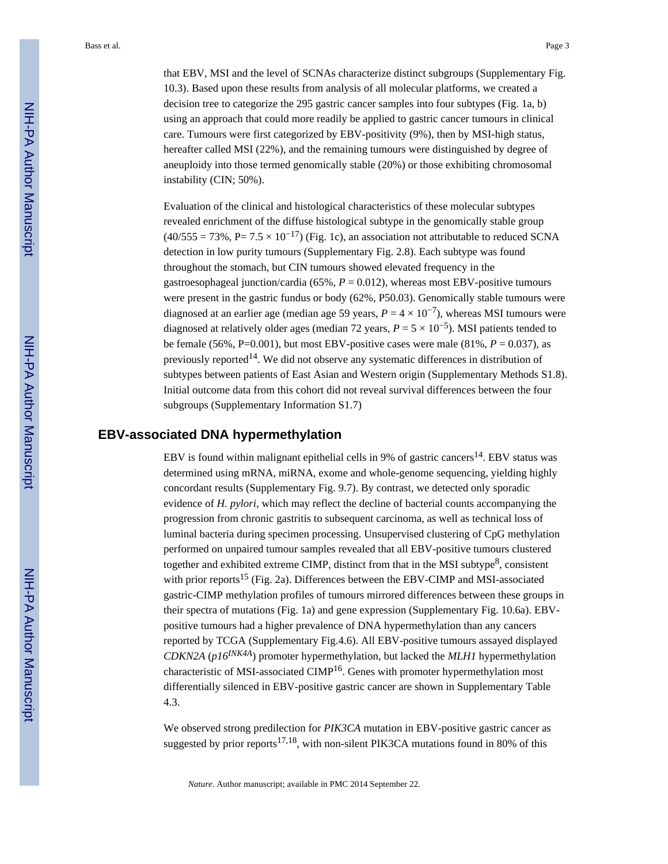that EBV, MSI and the level of SCNAs characterize distinct subgroups (Supplementary Fig. 10.3). Based upon these results from analysis of all molecular platforms, we created a decision tree to categorize the 295 gastric cancer samples into four subtypes (Fig. 1a, b) using an approach that could more readily be applied to gastric cancer tumours in clinical care. Tumours were first categorized by EBV-positivity (9%), then by MSI-high status, hereafter called MSI (22%), and the remaining tumours were distinguished by degree of aneuploidy into those termed genomically stable (20%) or those exhibiting chromosomal instability (CIN; 50%).

Evaluation of the clinical and histological characteristics of these molecular subtypes revealed enrichment of the diffuse histological subtype in the genomically stable group  $(40/555 = 73\%, P = 7.5 \times 10^{-17})$  (Fig. 1c), an association not attributable to reduced SCNA detection in low purity tumours (Supplementary Fig. 2.8). Each subtype was found throughout the stomach, but CIN tumours showed elevated frequency in the gastroesophageal junction/cardia (65%,  $P = 0.012$ ), whereas most EBV-positive tumours were present in the gastric fundus or body (62%, P50.03). Genomically stable tumours were diagnosed at an earlier age (median age 59 years,  $P = 4 \times 10^{-7}$ ), whereas MSI tumours were diagnosed at relatively older ages (median 72 years,  $P = 5 \times 10^{-5}$ ). MSI patients tended to be female (56%, P=0.001), but most EBV-positive cases were male (81%,  $P = 0.037$ ), as previously reported<sup>14</sup>. We did not observe any systematic differences in distribution of subtypes between patients of East Asian and Western origin (Supplementary Methods S1.8). Initial outcome data from this cohort did not reveal survival differences between the four subgroups (Supplementary Information S1.7)

## **EBV-associated DNA hypermethylation**

EBV is found within malignant epithelial cells in 9% of gastric cancers<sup>14</sup>. EBV status was determined using mRNA, miRNA, exome and whole-genome sequencing, yielding highly concordant results (Supplementary Fig. 9.7). By contrast, we detected only sporadic evidence of *H. pylori*, which may reflect the decline of bacterial counts accompanying the progression from chronic gastritis to subsequent carcinoma, as well as technical loss of luminal bacteria during specimen processing. Unsupervised clustering of CpG methylation performed on unpaired tumour samples revealed that all EBV-positive tumours clustered together and exhibited extreme CIMP, distinct from that in the MSI subtype $\delta$ , consistent with prior reports<sup>15</sup> (Fig. 2a). Differences between the EBV-CIMP and MSI-associated gastric-CIMP methylation profiles of tumours mirrored differences between these groups in their spectra of mutations (Fig. 1a) and gene expression (Supplementary Fig. 10.6a). EBVpositive tumours had a higher prevalence of DNA hypermethylation than any cancers reported by TCGA (Supplementary Fig.4.6). All EBV-positive tumours assayed displayed *CDKN2A* (*p16INK4A*) promoter hypermethylation, but lacked the *MLH1* hypermethylation characteristic of MSI-associated CIMP16. Genes with promoter hypermethylation most differentially silenced in EBV-positive gastric cancer are shown in Supplementary Table 4.3.

We observed strong predilection for *PIK3CA* mutation in EBV-positive gastric cancer as suggested by prior reports<sup>17,18</sup>, with non-silent PIK3CA mutations found in 80% of this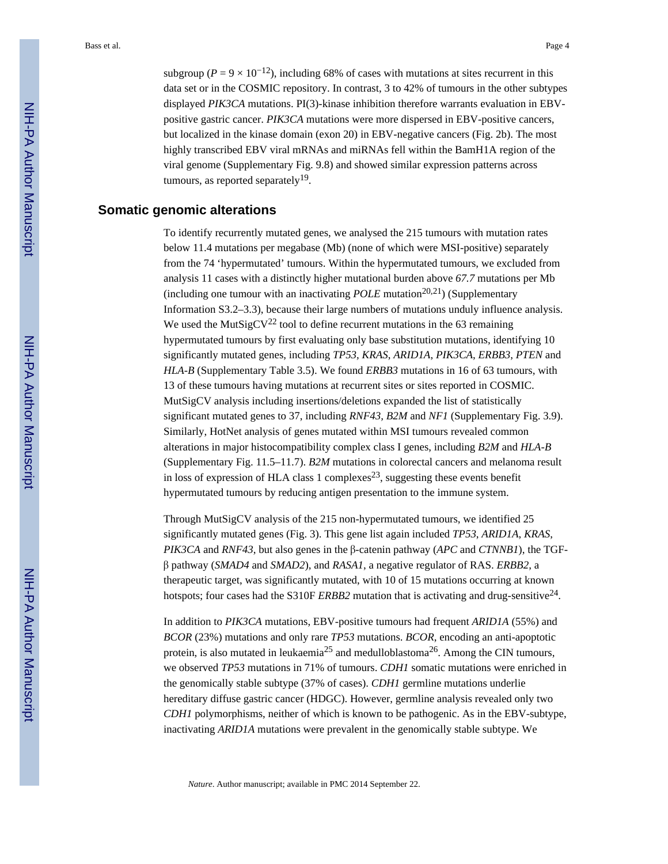subgroup ( $P = 9 \times 10^{-12}$ ), including 68% of cases with mutations at sites recurrent in this data set or in the COSMIC repository. In contrast, 3 to 42% of tumours in the other subtypes displayed *PIK3CA* mutations. PI(3)-kinase inhibition therefore warrants evaluation in EBVpositive gastric cancer. *PIK3CA* mutations were more dispersed in EBV-positive cancers, but localized in the kinase domain (exon 20) in EBV-negative cancers (Fig. 2b). The most highly transcribed EBV viral mRNAs and miRNAs fell within the BamH1A region of the viral genome (Supplementary Fig. 9.8) and showed similar expression patterns across tumours, as reported separately<sup>19</sup>.

# **Somatic genomic alterations**

To identify recurrently mutated genes, we analysed the 215 tumours with mutation rates below 11.4 mutations per megabase (Mb) (none of which were MSI-positive) separately from the 74 'hypermutated' tumours. Within the hypermutated tumours, we excluded from analysis 11 cases with a distinctly higher mutational burden above *67.7* mutations per Mb (including one tumour with an inactivating  $POLE$  mutation<sup>20,21</sup>) (Supplementary Information S3.2–3.3), because their large numbers of mutations unduly influence analysis. We used the MutSigCV<sup>22</sup> tool to define recurrent mutations in the 63 remaining hypermutated tumours by first evaluating only base substitution mutations, identifying 10 significantly mutated genes, including *TP53*, *KRAS*, *ARID1A*, *PIK3CA*, *ERBB3*, *PTEN* and *HLA-B* (Supplementary Table 3.5). We found *ERBB3* mutations in 16 of 63 tumours, with 13 of these tumours having mutations at recurrent sites or sites reported in COSMIC. MutSigCV analysis including insertions/deletions expanded the list of statistically significant mutated genes to 37, including *RNF43, B2M* and *NF1* (Supplementary Fig. 3.9). Similarly, HotNet analysis of genes mutated within MSI tumours revealed common alterations in major histocompatibility complex class I genes, including *B2M* and *HLA-B* (Supplementary Fig. 11.5–11.7). *B2M* mutations in colorectal cancers and melanoma result in loss of expression of HLA class 1 complexes<sup>23</sup>, suggesting these events benefit hypermutated tumours by reducing antigen presentation to the immune system.

Through MutSigCV analysis of the 215 non-hypermutated tumours, we identified 25 significantly mutated genes (Fig. 3). This gene list again included *TP53*, *ARID1A*, *KRAS*, *PIK3CA* and *RNF43*, but also genes in the β-catenin pathway (*APC* and *CTNNB1*), the TGFβ pathway (*SMAD4* and *SMAD2*), and *RASA1*, a negative regulator of RAS. *ERBB2*, a therapeutic target, was significantly mutated, with 10 of 15 mutations occurring at known hotspots; four cases had the S310F *ERBB2* mutation that is activating and drug-sensitive<sup>24</sup>.

In addition to *PIK3CA* mutations, EBV-positive tumours had frequent *ARID1A* (55%) and *BCOR* (23%) mutations and only rare *TP53* mutations. *BCOR*, encoding an anti-apoptotic protein, is also mutated in leukaemia<sup>25</sup> and medulloblastoma<sup>26</sup>. Among the CIN tumours, we observed *TP53* mutations in 71% of tumours. *CDH1* somatic mutations were enriched in the genomically stable subtype (37% of cases). *CDH1* germline mutations underlie hereditary diffuse gastric cancer (HDGC). However, germline analysis revealed only two *CDH1* polymorphisms, neither of which is known to be pathogenic. As in the EBV-subtype, inactivating *ARID1A* mutations were prevalent in the genomically stable subtype. We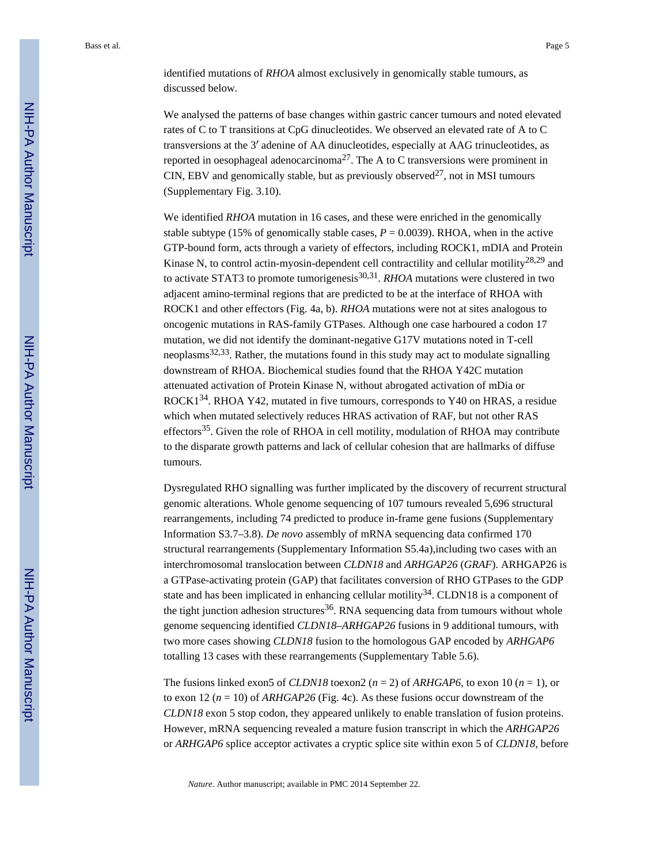identified mutations of *RHOA* almost exclusively in genomically stable tumours, as discussed below.

We analysed the patterns of base changes within gastric cancer tumours and noted elevated rates of C to T transitions at CpG dinucleotides. We observed an elevated rate of A to C transversions at the 3′ adenine of AA dinucleotides, especially at AAG trinucleotides, as reported in oesophageal adenocarcinoma<sup>27</sup>. The A to C transversions were prominent in CIN, EBV and genomically stable, but as previously observed<sup>27</sup>, not in MSI tumours (Supplementary Fig. 3.10).

We identified *RHOA* mutation in 16 cases, and these were enriched in the genomically stable subtype (15% of genomically stable cases,  $P = 0.0039$ ). RHOA, when in the active GTP-bound form, acts through a variety of effectors, including ROCK1, mDIA and Protein Kinase N, to control actin-myosin-dependent cell contractility and cellular motility<sup>28,29</sup> and to activate STAT3 to promote tumorigenesis<sup>30,31</sup>. *RHOA* mutations were clustered in two adjacent amino-terminal regions that are predicted to be at the interface of RHOA with ROCK1 and other effectors (Fig. 4a, b). *RHOA* mutations were not at sites analogous to oncogenic mutations in RAS-family GTPases. Although one case harboured a codon 17 mutation, we did not identify the dominant-negative G17V mutations noted in T-cell neoplasms<sup>32,33</sup>. Rather, the mutations found in this study may act to modulate signalling downstream of RHOA. Biochemical studies found that the RHOA Y42C mutation attenuated activation of Protein Kinase N, without abrogated activation of mDia or ROCK134. RHOA Y42, mutated in five tumours, corresponds to Y40 on HRAS, a residue which when mutated selectively reduces HRAS activation of RAF, but not other RAS effectors<sup>35</sup>. Given the role of RHOA in cell motility, modulation of RHOA may contribute to the disparate growth patterns and lack of cellular cohesion that are hallmarks of diffuse tumours.

Dysregulated RHO signalling was further implicated by the discovery of recurrent structural genomic alterations. Whole genome sequencing of 107 tumours revealed 5,696 structural rearrangements, including 74 predicted to produce in-frame gene fusions (Supplementary Information S3.7–3.8). *De novo* assembly of mRNA sequencing data confirmed 170 structural rearrangements (Supplementary Information S5.4a),including two cases with an interchromosomal translocation between *CLDN18* and *ARHGAP26* (*GRAF*). ARHGAP26 is a GTPase-activating protein (GAP) that facilitates conversion of RHO GTPases to the GDP state and has been implicated in enhancing cellular motility<sup>34</sup>. CLDN18 is a component of the tight junction adhesion structures<sup>36</sup>. RNA sequencing data from tumours without whole genome sequencing identified *CLDN18*–*ARHGAP26* fusions in 9 additional tumours, with two more cases showing *CLDN18* fusion to the homologous GAP encoded by *ARHGAP6* totalling 13 cases with these rearrangements (Supplementary Table 5.6).

The fusions linked exon5 of *CLDN18* toexon2 ( $n = 2$ ) of *ARHGAP6*, to exon 10 ( $n = 1$ ), or to exon 12 ( $n = 10$ ) of *ARHGAP26* (Fig. 4c). As these fusions occur downstream of the *CLDN18* exon 5 stop codon, they appeared unlikely to enable translation of fusion proteins. However, mRNA sequencing revealed a mature fusion transcript in which the *ARHGAP26* or *ARHGAP6* splice acceptor activates a cryptic splice site within exon 5 of *CLDN18*, before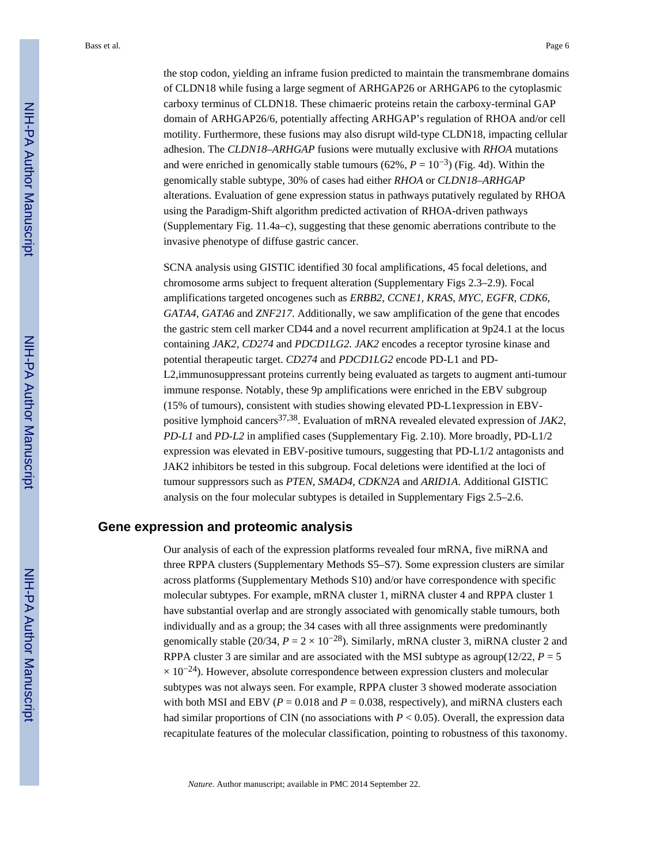the stop codon, yielding an inframe fusion predicted to maintain the transmembrane domains of CLDN18 while fusing a large segment of ARHGAP26 or ARHGAP6 to the cytoplasmic carboxy terminus of CLDN18. These chimaeric proteins retain the carboxy-terminal GAP domain of ARHGAP26/6, potentially affecting ARHGAP's regulation of RHOA and/or cell motility. Furthermore, these fusions may also disrupt wild-type CLDN18, impacting cellular adhesion. The *CLDN18*–*ARHGAP* fusions were mutually exclusive with *RHOA* mutations and were enriched in genomically stable tumours  $(62\%, P = 10^{-3})$  (Fig. 4d). Within the genomically stable subtype, 30% of cases had either *RHOA* or *CLDN18*–*ARHGAP* alterations. Evaluation of gene expression status in pathways putatively regulated by RHOA using the Paradigm-Shift algorithm predicted activation of RHOA-driven pathways (Supplementary Fig. 11.4a–c), suggesting that these genomic aberrations contribute to the invasive phenotype of diffuse gastric cancer.

SCNA analysis using GISTIC identified 30 focal amplifications, 45 focal deletions, and chromosome arms subject to frequent alteration (Supplementary Figs 2.3–2.9). Focal amplifications targeted oncogenes such as *ERBB2, CCNE1*, *KRAS*, *MYC*, *EGFR*, *CDK6*, *GATA4*, *GATA6* and *ZNF217*. Additionally, we saw amplification of the gene that encodes the gastric stem cell marker CD44 and a novel recurrent amplification at 9p24.1 at the locus containing *JAK2*, *CD274* and *PDCD1LG2. JAK2* encodes a receptor tyrosine kinase and potential therapeutic target. *CD274* and *PDCD1LG2* encode PD-L1 and PD-L2,immunosuppressant proteins currently being evaluated as targets to augment anti-tumour immune response. Notably, these 9p amplifications were enriched in the EBV subgroup (15% of tumours), consistent with studies showing elevated PD-L1expression in EBVpositive lymphoid cancers<sup>37,38</sup>. Evaluation of mRNA revealed elevated expression of *JAK2*, *PD-L1* and *PD-L2* in amplified cases (Supplementary Fig. 2.10). More broadly, PD-L1/2 expression was elevated in EBV-positive tumours, suggesting that PD-L1/2 antagonists and JAK2 inhibitors be tested in this subgroup. Focal deletions were identified at the loci of tumour suppressors such as *PTEN*, *SMAD4*, *CDKN2A* and *ARID1A*. Additional GISTIC analysis on the four molecular subtypes is detailed in Supplementary Figs 2.5–2.6.

### **Gene expression and proteomic analysis**

Our analysis of each of the expression platforms revealed four mRNA, five miRNA and three RPPA clusters (Supplementary Methods S5–S7). Some expression clusters are similar across platforms (Supplementary Methods S10) and/or have correspondence with specific molecular subtypes. For example, mRNA cluster 1, miRNA cluster 4 and RPPA cluster 1 have substantial overlap and are strongly associated with genomically stable tumours, both individually and as a group; the 34 cases with all three assignments were predominantly genomically stable (20/34,  $P = 2 \times 10^{-28}$ ). Similarly, mRNA cluster 3, miRNA cluster 2 and RPPA cluster 3 are similar and are associated with the MSI subtype as agroup( $12/22$ ,  $P = 5$ )  $\times$  10<sup>-24</sup>). However, absolute correspondence between expression clusters and molecular subtypes was not always seen. For example, RPPA cluster 3 showed moderate association with both MSI and EBV ( $P = 0.018$  and  $P = 0.038$ , respectively), and miRNA clusters each had similar proportions of CIN (no associations with *P* < 0.05). Overall, the expression data recapitulate features of the molecular classification, pointing to robustness of this taxonomy.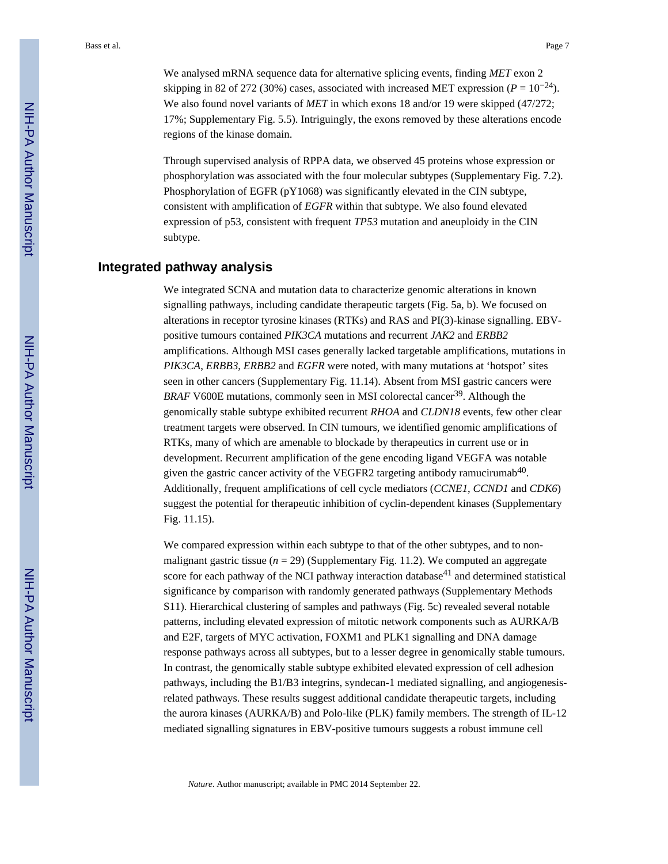We analysed mRNA sequence data for alternative splicing events, finding *MET* exon 2 skipping in 82 of 272 (30%) cases, associated with increased MET expression ( $P = 10^{-24}$ ). We also found novel variants of *MET* in which exons 18 and/or 19 were skipped (47/272; 17%; Supplementary Fig. 5.5). Intriguingly, the exons removed by these alterations encode regions of the kinase domain.

Through supervised analysis of RPPA data, we observed 45 proteins whose expression or phosphorylation was associated with the four molecular subtypes (Supplementary Fig. 7.2). Phosphorylation of EGFR (pY1068) was significantly elevated in the CIN subtype, consistent with amplification of *EGFR* within that subtype. We also found elevated expression of p53, consistent with frequent *TP53* mutation and aneuploidy in the CIN subtype.

# **Integrated pathway analysis**

We integrated SCNA and mutation data to characterize genomic alterations in known signalling pathways, including candidate therapeutic targets (Fig. 5a, b). We focused on alterations in receptor tyrosine kinases (RTKs) and RAS and PI(3)-kinase signalling. EBVpositive tumours contained *PIK3CA* mutations and recurrent *JAK2* and *ERBB2* amplifications. Although MSI cases generally lacked targetable amplifications, mutations in *PIK3CA*, *ERBB3*, *ERBB2* and *EGFR* were noted, with many mutations at 'hotspot' sites seen in other cancers (Supplementary Fig. 11.14). Absent from MSI gastric cancers were *BRAF* V600E mutations, commonly seen in MSI colorectal cancer<sup>39</sup>. Although the genomically stable subtype exhibited recurrent *RHOA* and *CLDN18* events, few other clear treatment targets were observed. In CIN tumours, we identified genomic amplifications of RTKs, many of which are amenable to blockade by therapeutics in current use or in development. Recurrent amplification of the gene encoding ligand VEGFA was notable given the gastric cancer activity of the VEGFR2 targeting antibody ramucirumab<sup>40</sup>. Additionally, frequent amplifications of cell cycle mediators (*CCNE1*, *CCND1* and *CDK6*) suggest the potential for therapeutic inhibition of cyclin-dependent kinases (Supplementary Fig. 11.15).

We compared expression within each subtype to that of the other subtypes, and to nonmalignant gastric tissue  $(n = 29)$  (Supplementary Fig. 11.2). We computed an aggregate score for each pathway of the NCI pathway interaction database $41$  and determined statistical significance by comparison with randomly generated pathways (Supplementary Methods S11). Hierarchical clustering of samples and pathways (Fig. 5c) revealed several notable patterns, including elevated expression of mitotic network components such as AURKA/B and E2F, targets of MYC activation, FOXM1 and PLK1 signalling and DNA damage response pathways across all subtypes, but to a lesser degree in genomically stable tumours. In contrast, the genomically stable subtype exhibited elevated expression of cell adhesion pathways, including the B1/B3 integrins, syndecan-1 mediated signalling, and angiogenesisrelated pathways. These results suggest additional candidate therapeutic targets, including the aurora kinases (AURKA/B) and Polo-like (PLK) family members. The strength of IL-12 mediated signalling signatures in EBV-positive tumours suggests a robust immune cell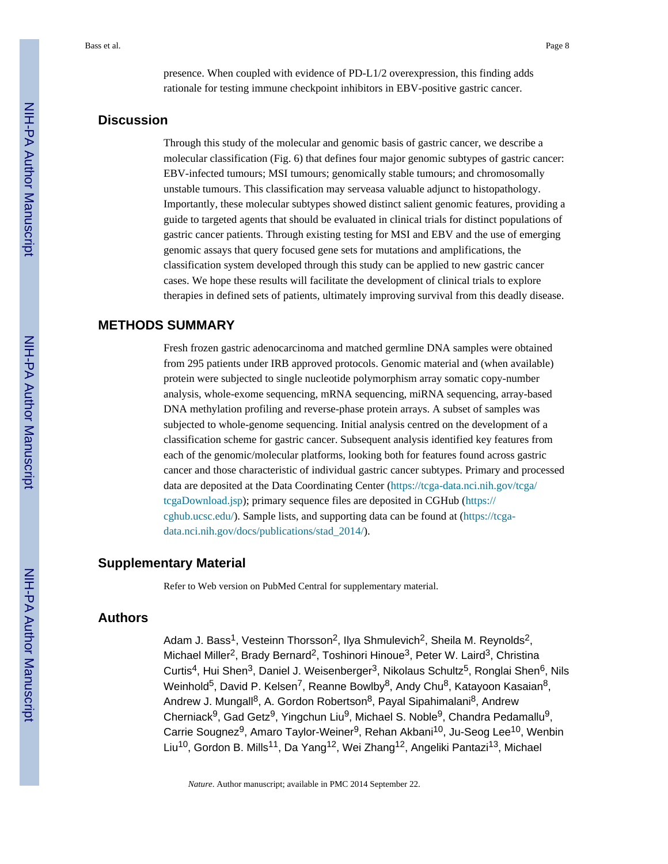presence. When coupled with evidence of PD-L1/2 overexpression, this finding adds rationale for testing immune checkpoint inhibitors in EBV-positive gastric cancer.

## **Discussion**

Through this study of the molecular and genomic basis of gastric cancer, we describe a molecular classification (Fig. 6) that defines four major genomic subtypes of gastric cancer: EBV-infected tumours; MSI tumours; genomically stable tumours; and chromosomally unstable tumours. This classification may serveasa valuable adjunct to histopathology. Importantly, these molecular subtypes showed distinct salient genomic features, providing a guide to targeted agents that should be evaluated in clinical trials for distinct populations of gastric cancer patients. Through existing testing for MSI and EBV and the use of emerging genomic assays that query focused gene sets for mutations and amplifications, the classification system developed through this study can be applied to new gastric cancer cases. We hope these results will facilitate the development of clinical trials to explore therapies in defined sets of patients, ultimately improving survival from this deadly disease.

# **METHODS SUMMARY**

Fresh frozen gastric adenocarcinoma and matched germline DNA samples were obtained from 295 patients under IRB approved protocols. Genomic material and (when available) protein were subjected to single nucleotide polymorphism array somatic copy-number analysis, whole-exome sequencing, mRNA sequencing, miRNA sequencing, array-based DNA methylation profiling and reverse-phase protein arrays. A subset of samples was subjected to whole-genome sequencing. Initial analysis centred on the development of a classification scheme for gastric cancer. Subsequent analysis identified key features from each of the genomic/molecular platforms, looking both for features found across gastric cancer and those characteristic of individual gastric cancer subtypes. Primary and processed data are deposited at the Data Coordinating Center [\(https://tcga-data.nci.nih.gov/tcga/](https://tcga-data.nci.nih.gov/tcga/tcgaDownload.jsp) [tcgaDownload.jsp](https://tcga-data.nci.nih.gov/tcga/tcgaDownload.jsp)); primary sequence files are deposited in CGHub ([https://](https://cghub.ucsc.edu/) [cghub.ucsc.edu/](https://cghub.ucsc.edu/)). Sample lists, and supporting data can be found at ([https://tcga](https://tcga-data.nci.nih.gov/docs/publications/stad_2014/)[data.nci.nih.gov/docs/publications/stad\\_2014/\)](https://tcga-data.nci.nih.gov/docs/publications/stad_2014/).

## **Supplementary Material**

Refer to Web version on PubMed Central for supplementary material.

# **Authors**

Adam J. Bass<sup>1</sup>, Vesteinn Thorsson<sup>2</sup>, Ilya Shmulevich<sup>2</sup>, Sheila M. Reynolds<sup>2</sup>, Michael Miller<sup>2</sup>, Brady Bernard<sup>2</sup>, Toshinori Hinoue<sup>3</sup>, Peter W. Laird<sup>3</sup>, Christina Curtis<sup>4</sup>, Hui Shen<sup>3</sup>, Daniel J. Weisenberger<sup>3</sup>, Nikolaus Schultz<sup>5</sup>, Ronglai Shen<sup>6</sup>, Nils Weinhold<sup>5</sup>, David P. Kelsen<sup>7</sup>, Reanne Bowlby<sup>8</sup>, Andy Chu<sup>8</sup>, Katayoon Kasaian<sup>8</sup>, Andrew J. Mungall<sup>8</sup>, A. Gordon Robertson<sup>8</sup>, Payal Sipahimalani<sup>8</sup>, Andrew Cherniack9, Gad Getz9, Yingchun Liu9, Michael S. Noble9, Chandra Pedamallu9, Carrie Sougnez<sup>9</sup>, Amaro Taylor-Weiner<sup>9</sup>, Rehan Akbani<sup>10</sup>, Ju-Seog Lee<sup>10</sup>, Wenbin Liu<sup>10</sup>, Gordon B. Mills<sup>11</sup>, Da Yang<sup>12</sup>, Wei Zhang<sup>12</sup>, Angeliki Pantazi<sup>13</sup>, Michael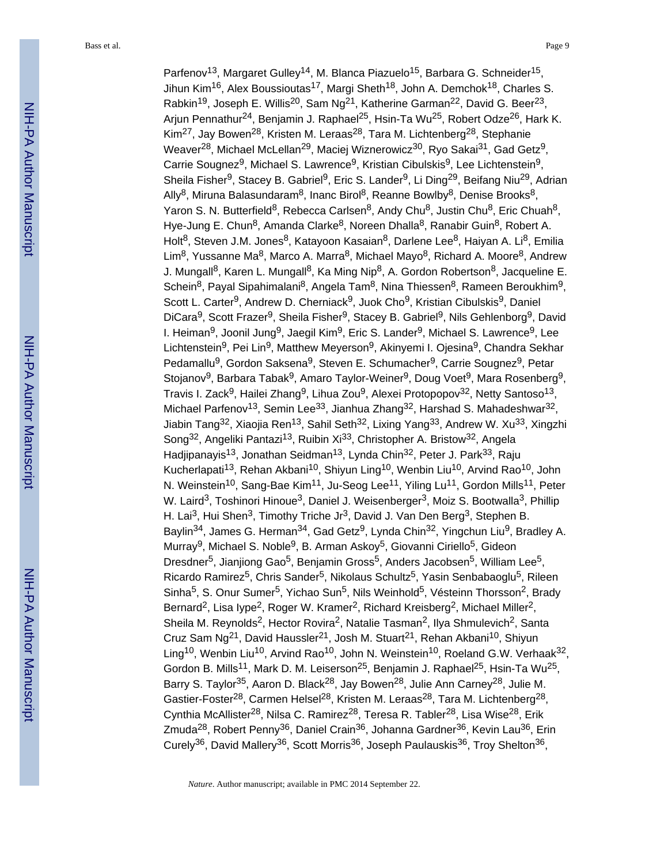Parfenov<sup>13</sup>, Margaret Gulley<sup>14</sup>, M. Blanca Piazuelo<sup>15</sup>, Barbara G. Schneider<sup>15</sup>, Jihun Kim<sup>16</sup>, Alex Boussioutas<sup>17</sup>, Margi Sheth<sup>18</sup>, John A. Demchok<sup>18</sup>, Charles S. Rabkin<sup>19</sup>, Joseph E. Willis<sup>20</sup>, Sam Ng<sup>21</sup>, Katherine Garman<sup>22</sup>, David G. Beer<sup>23</sup>, Ariun Pennathur<sup>24</sup>, Benjamin J. Raphael<sup>25</sup>, Hsin-Ta Wu<sup>25</sup>, Robert Odze<sup>26</sup>, Hark K. Kim27, Jay Bowen28, Kristen M. Leraas28, Tara M. Lichtenberg28, Stephanie Weaver<sup>28</sup>, Michael McLellan<sup>29</sup>, Maciej Wiznerowicz<sup>30</sup>, Ryo Sakai<sup>31</sup>, Gad Getz<sup>9</sup>, Carrie Sougnez<sup>9</sup>, Michael S. Lawrence<sup>9</sup>, Kristian Cibulskis<sup>9</sup>, Lee Lichtenstein<sup>9</sup>, Sheila Fisher<sup>9</sup>, Stacey B. Gabriel<sup>9</sup>, Eric S. Lander<sup>9</sup>, Li Ding<sup>29</sup>, Beifang Niu<sup>29</sup>, Adrian Ally<sup>8</sup>, Miruna Balasundaram<sup>8</sup>, Inanc Birol<sup>8</sup>, Reanne Bowlby<sup>8</sup>, Denise Brooks<sup>8</sup>, Yaron S. N. Butterfield<sup>8</sup>, Rebecca Carlsen<sup>8</sup>, Andy Chu<sup>8</sup>, Justin Chu<sup>8</sup>, Eric Chuah<sup>8</sup>, Hye-Jung E. Chun<sup>8</sup>, Amanda Clarke<sup>8</sup>, Noreen Dhalla<sup>8</sup>, Ranabir Guin<sup>8</sup>, Robert A. Holt<sup>8</sup>, Steven J.M. Jones<sup>8</sup>, Katayoon Kasaian<sup>8</sup>, Darlene Lee<sup>8</sup>, Haiyan A. Li<sup>8</sup>, Emilia Lim<sup>8</sup>, Yussanne Ma<sup>8</sup>, Marco A. Marra<sup>8</sup>, Michael Mayo<sup>8</sup>, Richard A. Moore<sup>8</sup>, Andrew J. Mungall<sup>8</sup>, Karen L. Mungall<sup>8</sup>, Ka Ming Nip<sup>8</sup>, A. Gordon Robertson<sup>8</sup>, Jacqueline E. Schein<sup>8</sup>, Payal Sipahimalani<sup>8</sup>, Angela Tam<sup>8</sup>, Nina Thiessen<sup>8</sup>, Rameen Beroukhim<sup>9</sup>, Scott L. Carter<sup>9</sup>, Andrew D. Cherniack<sup>9</sup>, Juok Cho<sup>9</sup>, Kristian Cibulskis<sup>9</sup>, Daniel DiCara<sup>9</sup>, Scott Frazer<sup>9</sup>, Sheila Fisher<sup>9</sup>, Stacey B. Gabriel<sup>9</sup>, Nils Gehlenborg<sup>9</sup>, David I. Heiman<sup>9</sup>, Joonil Jung<sup>9</sup>, Jaegil Kim<sup>9</sup>, Eric S. Lander<sup>9</sup>, Michael S. Lawrence<sup>9</sup>, Lee Lichtenstein<sup>9</sup>, Pei Lin<sup>9</sup>, Matthew Meyerson<sup>9</sup>, Akinyemi I. Ojesina<sup>9</sup>, Chandra Sekhar Pedamallu<sup>9</sup>, Gordon Saksena<sup>9</sup>, Steven E. Schumacher<sup>9</sup>, Carrie Sougnez<sup>9</sup>, Petar Stojanov<sup>9</sup>, Barbara Tabak<sup>9</sup>, Amaro Taylor-Weiner<sup>9</sup>, Doug Voet<sup>9</sup>, Mara Rosenberg<sup>9</sup>, Travis I. Zack<sup>9</sup>, Hailei Zhang<sup>9</sup>, Lihua Zou<sup>9</sup>, Alexei Protopopov<sup>32</sup>, Netty Santoso<sup>13</sup>, Michael Parfenov<sup>13</sup>, Semin Lee<sup>33</sup>, Jianhua Zhang<sup>32</sup>, Harshad S. Mahadeshwar<sup>32</sup>, Jiabin Tang<sup>32</sup>, Xiaojia Ren<sup>13</sup>, Sahil Seth<sup>32</sup>, Lixing Yang<sup>33</sup>, Andrew W. Xu<sup>33</sup>, Xingzhi Song<sup>32</sup>, Angeliki Pantazi<sup>13</sup>, Ruibin Xi<sup>33</sup>, Christopher A. Bristow<sup>32</sup>, Angela Hadjipanayis<sup>13</sup>, Jonathan Seidman<sup>13</sup>, Lynda Chin<sup>32</sup>, Peter J. Park<sup>33</sup>, Raju Kucherlapati<sup>13</sup>, Rehan Akbani<sup>10</sup>, Shiyun Ling<sup>10</sup>, Wenbin Liu<sup>10</sup>, Arvind Rao<sup>10</sup>, John N. Weinstein<sup>10</sup>, Sang-Bae Kim<sup>11</sup>, Ju-Seog Lee<sup>11</sup>, Yiling Lu<sup>11</sup>, Gordon Mills<sup>11</sup>, Peter W. Laird<sup>3</sup>, Toshinori Hinoue<sup>3</sup>, Daniel J. Weisenberger<sup>3</sup>, Moiz S. Bootwalla<sup>3</sup>, Phillip H. Lai<sup>3</sup>, Hui Shen<sup>3</sup>, Timothy Triche Jr<sup>3</sup>, David J. Van Den Berg<sup>3</sup>, Stephen B. Baylin<sup>34</sup>, James G. Herman<sup>34</sup>, Gad Getz<sup>9</sup>, Lynda Chin<sup>32</sup>, Yingchun Liu<sup>9</sup>, Bradley A. Murray<sup>9</sup>, Michael S. Noble<sup>9</sup>, B. Arman Askoy<sup>5</sup>, Giovanni Ciriello<sup>5</sup>, Gideon Dresdner<sup>5</sup>, Jianjiong Gao<sup>5</sup>, Benjamin Gross<sup>5</sup>, Anders Jacobsen<sup>5</sup>, William Lee<sup>5</sup>, Ricardo Ramirez<sup>5</sup>, Chris Sander<sup>5</sup>, Nikolaus Schultz<sup>5</sup>, Yasin Senbabaoglu<sup>5</sup>, Rileen Sinha<sup>5</sup>, S. Onur Sumer<sup>5</sup>, Yichao Sun<sup>5</sup>, Nils Weinhold<sup>5</sup>, Vésteinn Thorsson<sup>2</sup>, Brady Bernard<sup>2</sup>, Lisa Iype<sup>2</sup>, Roger W. Kramer<sup>2</sup>, Richard Kreisberg<sup>2</sup>, Michael Miller<sup>2</sup>, Sheila M. Reynolds<sup>2</sup>, Hector Rovira<sup>2</sup>, Natalie Tasman<sup>2</sup>, Ilya Shmulevich<sup>2</sup>, Santa Cruz Sam Ng<sup>21</sup>, David Haussler<sup>21</sup>, Josh M. Stuart<sup>21</sup>, Rehan Akbani<sup>10</sup>, Shiyun Ling<sup>10</sup>, Wenbin Liu<sup>10</sup>, Arvind Rao<sup>10</sup>, John N. Weinstein<sup>10</sup>, Roeland G.W. Verhaak<sup>32</sup>, Gordon B. Mills<sup>11</sup>, Mark D. M. Leiserson<sup>25</sup>, Benjamin J. Raphael<sup>25</sup>, Hsin-Ta Wu<sup>25</sup>, Barry S. Taylor<sup>35</sup>, Aaron D. Black<sup>28</sup>, Jay Bowen<sup>28</sup>, Julie Ann Carney<sup>28</sup>, Julie M. Gastier-Foster<sup>28</sup>, Carmen Helsel<sup>28</sup>, Kristen M. Leraas<sup>28</sup>, Tara M. Lichtenberg<sup>28</sup>, Cynthia McAllister<sup>28</sup>, Nilsa C. Ramirez<sup>28</sup>, Teresa R. Tabler<sup>28</sup>, Lisa Wise<sup>28</sup>, Erik Zmuda28, Robert Penny36, Daniel Crain36, Johanna Gardner36, Kevin Lau36, Erin Curely<sup>36</sup>, David Mallery<sup>36</sup>, Scott Morris<sup>36</sup>, Joseph Paulauskis<sup>36</sup>, Troy Shelton<sup>36</sup>,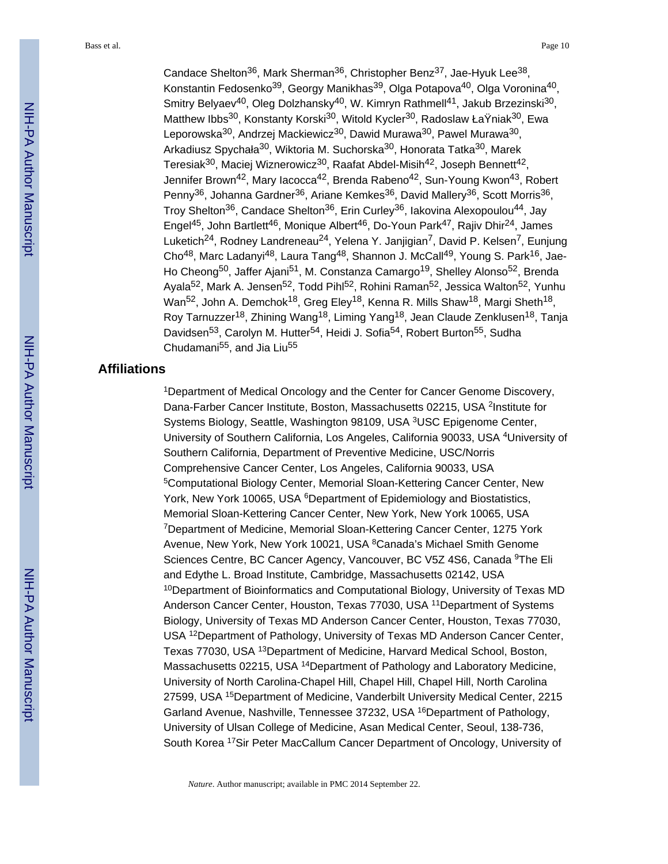Candace Shelton<sup>36</sup>, Mark Sherman<sup>36</sup>, Christopher Benz<sup>37</sup>, Jae-Hyuk Lee<sup>38</sup>, Konstantin Fedosenko<sup>39</sup>, Georgy Manikhas<sup>39</sup>, Olga Potapova<sup>40</sup>, Olga Voronina<sup>40</sup>, Smitry Belyaev<sup>40</sup>, Oleg Dolzhansky<sup>40</sup>, W. Kimryn Rathmell<sup>41</sup>, Jakub Brzezinski<sup>30</sup>, Matthew Ibbs<sup>30</sup>, Konstanty Korski<sup>30</sup>, Witold Kycler<sup>30</sup>, Radoslaw Ła inak<sup>30</sup>, Ewa Leporowska<sup>30</sup>, Andrzej Mackiewicz<sup>30</sup>, Dawid Murawa<sup>30</sup>, Pawel Murawa<sup>30</sup>, Arkadiusz Spychała<sup>30</sup>, Wiktoria M. Suchorska<sup>30</sup>, Honorata Tatka<sup>30</sup>, Marek Teresiak<sup>30</sup>, Maciej Wiznerowicz<sup>30</sup>, Raafat Abdel-Misih<sup>42</sup>, Joseph Bennett<sup>42</sup>, Jennifer Brown<sup>42</sup>, Mary Iacocca<sup>42</sup>, Brenda Rabeno<sup>42</sup>, Sun-Young Kwon<sup>43</sup>, Robert Penny<sup>36</sup>, Johanna Gardner<sup>36</sup>, Ariane Kemkes<sup>36</sup>, David Mallery<sup>36</sup>, Scott Morris<sup>36</sup>, Troy Shelton<sup>36</sup>, Candace Shelton<sup>36</sup>, Erin Curley<sup>36</sup>, Iakovina Alexopoulou<sup>44</sup>, Jay Engel<sup>45</sup>, John Bartlett<sup>46</sup>, Monique Albert<sup>46</sup>, Do-Youn Park<sup>47</sup>, Rajiv Dhir<sup>24</sup>, James Luketich<sup>24</sup>, Rodney Landreneau<sup>24</sup>, Yelena Y. Janjigian<sup>7</sup>, David P. Kelsen<sup>7</sup>, Eunjung Cho<sup>48</sup>, Marc Ladanyi<sup>48</sup>, Laura Tang<sup>48</sup>, Shannon J. McCall<sup>49</sup>, Young S. Park<sup>16</sup>, Jae-Ho Cheong<sup>50</sup>, Jaffer Ajani<sup>51</sup>, M. Constanza Camargo<sup>19</sup>, Shelley Alonso<sup>52</sup>, Brenda Ayala<sup>52</sup>, Mark A. Jensen<sup>52</sup>, Todd Pihl<sup>52</sup>, Rohini Raman<sup>52</sup>, Jessica Walton<sup>52</sup>, Yunhu Wan<sup>52</sup>, John A. Demchok<sup>18</sup>, Greg Eley<sup>18</sup>, Kenna R. Mills Shaw<sup>18</sup>, Margi Sheth<sup>18</sup>, Roy Tarnuzzer<sup>18</sup>, Zhining Wang<sup>18</sup>, Liming Yang<sup>18</sup>, Jean Claude Zenklusen<sup>18</sup>, Tanja Davidsen<sup>53</sup>, Carolyn M. Hutter<sup>54</sup>, Heidi J. Sofia<sup>54</sup>, Robert Burton<sup>55</sup>, Sudha Chudamani<sup>55</sup>, and Jia Liu<sup>55</sup>

# **Affiliations**

<sup>1</sup>Department of Medical Oncology and the Center for Cancer Genome Discovery, Dana-Farber Cancer Institute, Boston, Massachusetts 02215, USA <sup>2</sup>Institute for Systems Biology, Seattle, Washington 98109, USA <sup>3</sup>USC Epigenome Center, University of Southern California, Los Angeles, California 90033, USA <sup>4</sup>University of Southern California, Department of Preventive Medicine, USC/Norris Comprehensive Cancer Center, Los Angeles, California 90033, USA <sup>5</sup>Computational Biology Center, Memorial Sloan-Kettering Cancer Center, New York, New York 10065, USA <sup>6</sup>Department of Epidemiology and Biostatistics, Memorial Sloan-Kettering Cancer Center, New York, New York 10065, USA <sup>7</sup>Department of Medicine, Memorial Sloan-Kettering Cancer Center, 1275 York Avenue, New York, New York 10021, USA <sup>8</sup>Canada's Michael Smith Genome Sciences Centre, BC Cancer Agency, Vancouver, BC V5Z 4S6, Canada <sup>9</sup>The Eli and Edythe L. Broad Institute, Cambridge, Massachusetts 02142, USA <sup>10</sup>Department of Bioinformatics and Computational Biology, University of Texas MD Anderson Cancer Center, Houston, Texas 77030, USA <sup>11</sup>Department of Systems Biology, University of Texas MD Anderson Cancer Center, Houston, Texas 77030, USA <sup>12</sup>Department of Pathology, University of Texas MD Anderson Cancer Center, Texas 77030, USA <sup>13</sup>Department of Medicine, Harvard Medical School, Boston, Massachusetts 02215, USA <sup>14</sup>Department of Pathology and Laboratory Medicine, University of North Carolina-Chapel Hill, Chapel Hill, Chapel Hill, North Carolina 27599, USA <sup>15</sup>Department of Medicine, Vanderbilt University Medical Center, 2215 Garland Avenue, Nashville, Tennessee 37232, USA <sup>16</sup>Department of Pathology, University of Ulsan College of Medicine, Asan Medical Center, Seoul, 138-736, South Korea <sup>17</sup>Sir Peter MacCallum Cancer Department of Oncology, University of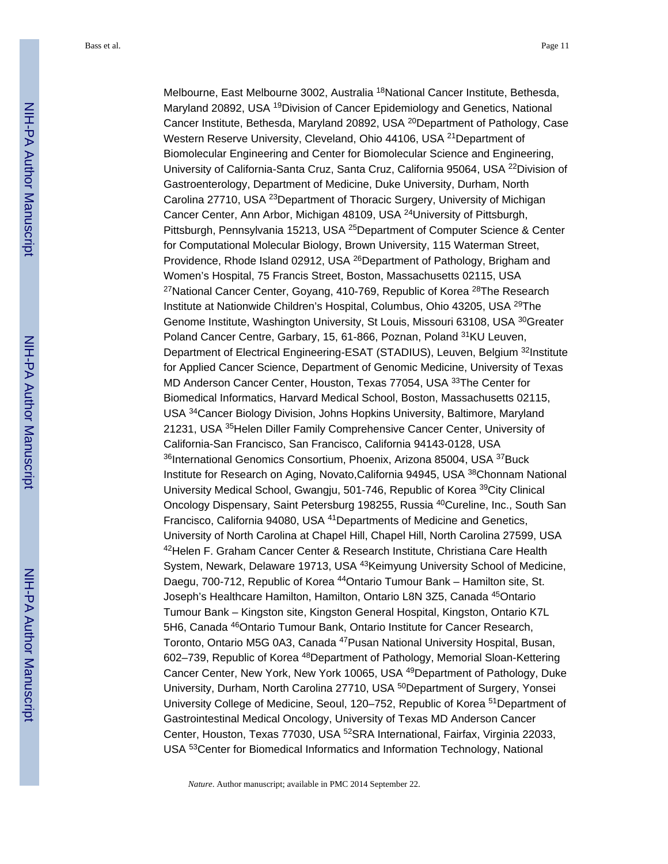Melbourne, East Melbourne 3002, Australia<sup>18</sup>National Cancer Institute, Bethesda, Maryland 20892, USA <sup>19</sup>Division of Cancer Epidemiology and Genetics, National Cancer Institute, Bethesda, Maryland 20892, USA <sup>20</sup>Department of Pathology, Case Western Reserve University, Cleveland, Ohio 44106, USA <sup>21</sup>Department of Biomolecular Engineering and Center for Biomolecular Science and Engineering, University of California-Santa Cruz, Santa Cruz, California 95064, USA <sup>22</sup>Division of Gastroenterology, Department of Medicine, Duke University, Durham, North Carolina 27710, USA <sup>23</sup>Department of Thoracic Surgery, University of Michigan Cancer Center, Ann Arbor, Michigan 48109, USA <sup>24</sup>University of Pittsburgh, Pittsburgh, Pennsylvania 15213, USA <sup>25</sup>Department of Computer Science & Center for Computational Molecular Biology, Brown University, 115 Waterman Street, Providence, Rhode Island 02912, USA <sup>26</sup>Department of Pathology, Brigham and Women's Hospital, 75 Francis Street, Boston, Massachusetts 02115, USA <sup>27</sup>National Cancer Center, Goyang, 410-769, Republic of Korea <sup>28</sup>The Research Institute at Nationwide Children's Hospital, Columbus, Ohio 43205, USA 29The Genome Institute, Washington University, St Louis, Missouri 63108, USA <sup>30</sup>Greater Poland Cancer Centre, Garbary, 15, 61-866, Poznan, Poland <sup>31</sup>KU Leuven, Department of Electrical Engineering-ESAT (STADIUS), Leuven, Belgium <sup>32</sup>Institute for Applied Cancer Science, Department of Genomic Medicine, University of Texas MD Anderson Cancer Center, Houston, Texas 77054, USA <sup>33</sup>The Center for Biomedical Informatics, Harvard Medical School, Boston, Massachusetts 02115, USA <sup>34</sup>Cancer Biology Division, Johns Hopkins University, Baltimore, Maryland 21231, USA <sup>35</sup>Helen Diller Family Comprehensive Cancer Center, University of California-San Francisco, San Francisco, California 94143-0128, USA <sup>36</sup>International Genomics Consortium, Phoenix, Arizona 85004, USA <sup>37</sup>Buck Institute for Research on Aging, Novato,California 94945, USA <sup>38</sup>Chonnam National University Medical School, Gwangju, 501-746, Republic of Korea <sup>39</sup>City Clinical Oncology Dispensary, Saint Petersburg 198255, Russia <sup>40</sup>Cureline, Inc., South San Francisco, California 94080, USA <sup>41</sup>Departments of Medicine and Genetics, University of North Carolina at Chapel Hill, Chapel Hill, North Carolina 27599, USA <sup>42</sup>Helen F. Graham Cancer Center & Research Institute, Christiana Care Health System, Newark, Delaware 19713, USA <sup>43</sup>Keimyung University School of Medicine, Daegu, 700-712, Republic of Korea <sup>44</sup>Ontario Tumour Bank - Hamilton site, St. Joseph's Healthcare Hamilton, Hamilton, Ontario L8N 3Z5, Canada <sup>45</sup>Ontario Tumour Bank – Kingston site, Kingston General Hospital, Kingston, Ontario K7L 5H6, Canada <sup>46</sup>Ontario Tumour Bank, Ontario Institute for Cancer Research, Toronto, Ontario M5G 0A3, Canada <sup>47</sup>Pusan National University Hospital, Busan, 602–739, Republic of Korea <sup>48</sup>Department of Pathology, Memorial Sloan-Kettering Cancer Center, New York, New York 10065, USA <sup>49</sup>Department of Pathology, Duke University, Durham, North Carolina 27710, USA <sup>50</sup>Department of Surgery, Yonsei University College of Medicine, Seoul, 120–752, Republic of Korea <sup>51</sup>Department of Gastrointestinal Medical Oncology, University of Texas MD Anderson Cancer Center, Houston, Texas 77030, USA <sup>52</sup>SRA International, Fairfax, Virginia 22033, USA <sup>53</sup>Center for Biomedical Informatics and Information Technology, National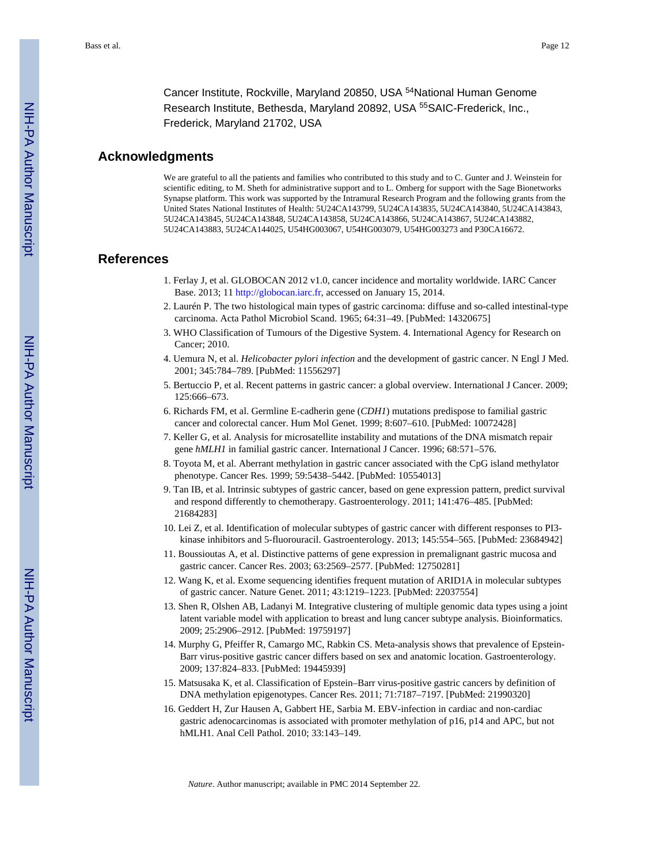Cancer Institute, Rockville, Maryland 20850, USA <sup>54</sup>National Human Genome Research Institute, Bethesda, Maryland 20892, USA <sup>55</sup>SAIC-Frederick, Inc., Frederick, Maryland 21702, USA

## **Acknowledgments**

We are grateful to all the patients and families who contributed to this study and to C. Gunter and J. Weinstein for scientific editing, to M. Sheth for administrative support and to L. Omberg for support with the Sage Bionetworks Synapse platform. This work was supported by the Intramural Research Program and the following grants from the United States National Institutes of Health: 5U24CA143799, 5U24CA143835, 5U24CA143840, 5U24CA143843, 5U24CA143845, 5U24CA143848, 5U24CA143858, 5U24CA143866, 5U24CA143867, 5U24CA143882, 5U24CA143883, 5U24CA144025, U54HG003067, U54HG003079, U54HG003273 and P30CA16672.

## **References**

- 1. Ferlay J, et al. GLOBOCAN 2012 v1.0, cancer incidence and mortality worldwide. IARC Cancer Base. 2013; 11 <http://globocan.iarc.fr>, accessed on January 15, 2014.
- 2. Laurén P. The two histological main types of gastric carcinoma: diffuse and so-called intestinal-type carcinoma. Acta Pathol Microbiol Scand. 1965; 64:31–49. [PubMed: 14320675]
- 3. WHO Classification of Tumours of the Digestive System. 4. International Agency for Research on Cancer; 2010.
- 4. Uemura N, et al. *Helicobacter pylori infection* and the development of gastric cancer. N Engl J Med. 2001; 345:784–789. [PubMed: 11556297]
- 5. Bertuccio P, et al. Recent patterns in gastric cancer: a global overview. International J Cancer. 2009; 125:666–673.
- 6. Richards FM, et al. Germline E-cadherin gene (*CDH1*) mutations predispose to familial gastric cancer and colorectal cancer. Hum Mol Genet. 1999; 8:607–610. [PubMed: 10072428]
- 7. Keller G, et al. Analysis for microsatellite instability and mutations of the DNA mismatch repair gene *hMLH1* in familial gastric cancer. International J Cancer. 1996; 68:571–576.
- 8. Toyota M, et al. Aberrant methylation in gastric cancer associated with the CpG island methylator phenotype. Cancer Res. 1999; 59:5438–5442. [PubMed: 10554013]
- 9. Tan IB, et al. Intrinsic subtypes of gastric cancer, based on gene expression pattern, predict survival and respond differently to chemotherapy. Gastroenterology. 2011; 141:476–485. [PubMed: 21684283]
- 10. Lei Z, et al. Identification of molecular subtypes of gastric cancer with different responses to PI3 kinase inhibitors and 5-fluorouracil. Gastroenterology. 2013; 145:554–565. [PubMed: 23684942]
- 11. Boussioutas A, et al. Distinctive patterns of gene expression in premalignant gastric mucosa and gastric cancer. Cancer Res. 2003; 63:2569–2577. [PubMed: 12750281]
- 12. Wang K, et al. Exome sequencing identifies frequent mutation of ARID1A in molecular subtypes of gastric cancer. Nature Genet. 2011; 43:1219–1223. [PubMed: 22037554]
- 13. Shen R, Olshen AB, Ladanyi M. Integrative clustering of multiple genomic data types using a joint latent variable model with application to breast and lung cancer subtype analysis. Bioinformatics. 2009; 25:2906–2912. [PubMed: 19759197]
- 14. Murphy G, Pfeiffer R, Camargo MC, Rabkin CS. Meta-analysis shows that prevalence of Epstein-Barr virus-positive gastric cancer differs based on sex and anatomic location. Gastroenterology. 2009; 137:824–833. [PubMed: 19445939]
- 15. Matsusaka K, et al. Classification of Epstein–Barr virus-positive gastric cancers by definition of DNA methylation epigenotypes. Cancer Res. 2011; 71:7187–7197. [PubMed: 21990320]
- 16. Geddert H, Zur Hausen A, Gabbert HE, Sarbia M. EBV-infection in cardiac and non-cardiac gastric adenocarcinomas is associated with promoter methylation of p16, p14 and APC, but not hMLH1. Anal Cell Pathol. 2010; 33:143–149.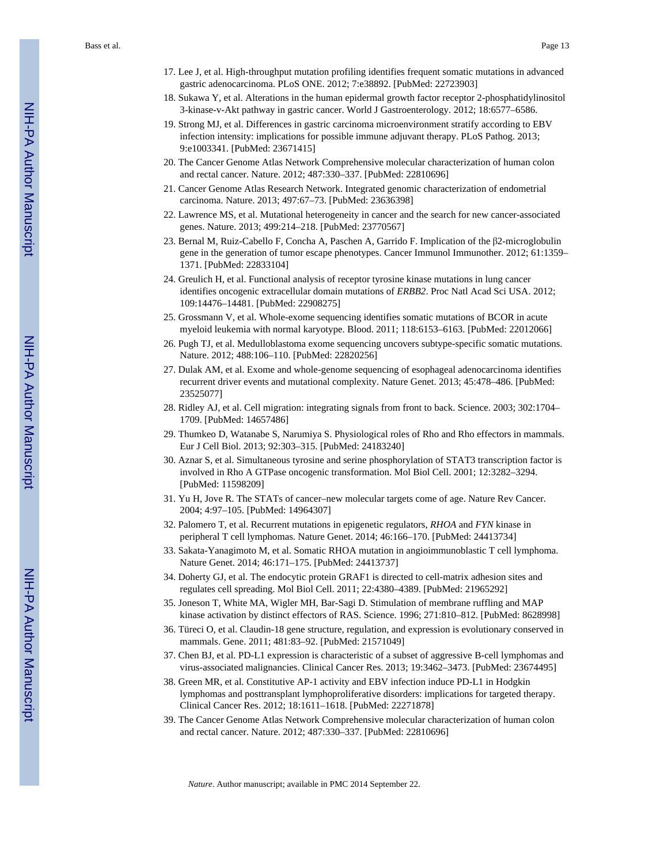- 17. Lee J, et al. High-throughput mutation profiling identifies frequent somatic mutations in advanced gastric adenocarcinoma. PLoS ONE. 2012; 7:e38892. [PubMed: 22723903]
- 18. Sukawa Y, et al. Alterations in the human epidermal growth factor receptor 2-phosphatidylinositol 3-kinase-v-Akt pathway in gastric cancer. World J Gastroenterology. 2012; 18:6577–6586.
- 19. Strong MJ, et al. Differences in gastric carcinoma microenvironment stratify according to EBV infection intensity: implications for possible immune adjuvant therapy. PLoS Pathog. 2013; 9:e1003341. [PubMed: 23671415]
- 20. The Cancer Genome Atlas Network Comprehensive molecular characterization of human colon and rectal cancer. Nature. 2012; 487:330–337. [PubMed: 22810696]
- 21. Cancer Genome Atlas Research Network. Integrated genomic characterization of endometrial carcinoma. Nature. 2013; 497:67–73. [PubMed: 23636398]
- 22. Lawrence MS, et al. Mutational heterogeneity in cancer and the search for new cancer-associated genes. Nature. 2013; 499:214–218. [PubMed: 23770567]
- 23. Bernal M, Ruiz-Cabello F, Concha A, Paschen A, Garrido F. Implication of the β2-microglobulin gene in the generation of tumor escape phenotypes. Cancer Immunol Immunother. 2012; 61:1359– 1371. [PubMed: 22833104]
- 24. Greulich H, et al. Functional analysis of receptor tyrosine kinase mutations in lung cancer identifies oncogenic extracellular domain mutations of *ERBB2*. Proc Natl Acad Sci USA. 2012; 109:14476–14481. [PubMed: 22908275]
- 25. Grossmann V, et al. Whole-exome sequencing identifies somatic mutations of BCOR in acute myeloid leukemia with normal karyotype. Blood. 2011; 118:6153–6163. [PubMed: 22012066]
- 26. Pugh TJ, et al. Medulloblastoma exome sequencing uncovers subtype-specific somatic mutations. Nature. 2012; 488:106–110. [PubMed: 22820256]
- 27. Dulak AM, et al. Exome and whole-genome sequencing of esophageal adenocarcinoma identifies recurrent driver events and mutational complexity. Nature Genet. 2013; 45:478–486. [PubMed: 23525077]
- 28. Ridley AJ, et al. Cell migration: integrating signals from front to back. Science. 2003; 302:1704– 1709. [PubMed: 14657486]
- 29. Thumkeo D, Watanabe S, Narumiya S. Physiological roles of Rho and Rho effectors in mammals. Eur J Cell Biol. 2013; 92:303–315. [PubMed: 24183240]
- 30. Aznar S, et al. Simultaneous tyrosine and serine phosphorylation of STAT3 transcription factor is involved in Rho A GTPase oncogenic transformation. Mol Biol Cell. 2001; 12:3282–3294. [PubMed: 11598209]
- 31. Yu H, Jove R. The STATs of cancer–new molecular targets come of age. Nature Rev Cancer. 2004; 4:97–105. [PubMed: 14964307]
- 32. Palomero T, et al. Recurrent mutations in epigenetic regulators, *RHOA* and *FYN* kinase in peripheral T cell lymphomas. Nature Genet. 2014; 46:166–170. [PubMed: 24413734]
- 33. Sakata-Yanagimoto M, et al. Somatic RHOA mutation in angioimmunoblastic T cell lymphoma. Nature Genet. 2014; 46:171–175. [PubMed: 24413737]
- 34. Doherty GJ, et al. The endocytic protein GRAF1 is directed to cell-matrix adhesion sites and regulates cell spreading. Mol Biol Cell. 2011; 22:4380–4389. [PubMed: 21965292]
- 35. Joneson T, White MA, Wigler MH, Bar-Sagi D. Stimulation of membrane ruffling and MAP kinase activation by distinct effectors of RAS. Science. 1996; 271:810–812. [PubMed: 8628998]
- 36. Türeci O, et al. Claudin-18 gene structure, regulation, and expression is evolutionary conserved in mammals. Gene. 2011; 481:83–92. [PubMed: 21571049]
- 37. Chen BJ, et al. PD-L1 expression is characteristic of a subset of aggressive B-cell lymphomas and virus-associated malignancies. Clinical Cancer Res. 2013; 19:3462–3473. [PubMed: 23674495]
- 38. Green MR, et al. Constitutive AP-1 activity and EBV infection induce PD-L1 in Hodgkin lymphomas and posttransplant lymphoproliferative disorders: implications for targeted therapy. Clinical Cancer Res. 2012; 18:1611–1618. [PubMed: 22271878]
- 39. The Cancer Genome Atlas Network Comprehensive molecular characterization of human colon and rectal cancer. Nature. 2012; 487:330–337. [PubMed: 22810696]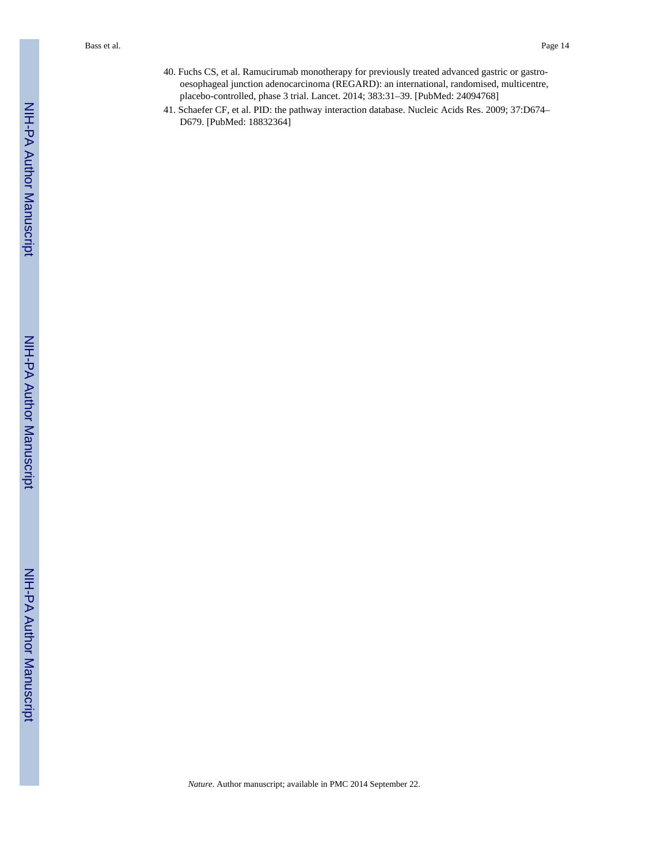- 40. Fuchs CS, et al. Ramucirumab monotherapy for previously treated advanced gastric or gastrooesophageal junction adenocarcinoma (REGARD): an international, randomised, multicentre, placebo-controlled, phase 3 trial. Lancet. 2014; 383:31–39. [PubMed: 24094768]
- 41. Schaefer CF, et al. PID: the pathway interaction database. Nucleic Acids Res. 2009; 37:D674– D679. [PubMed: 18832364]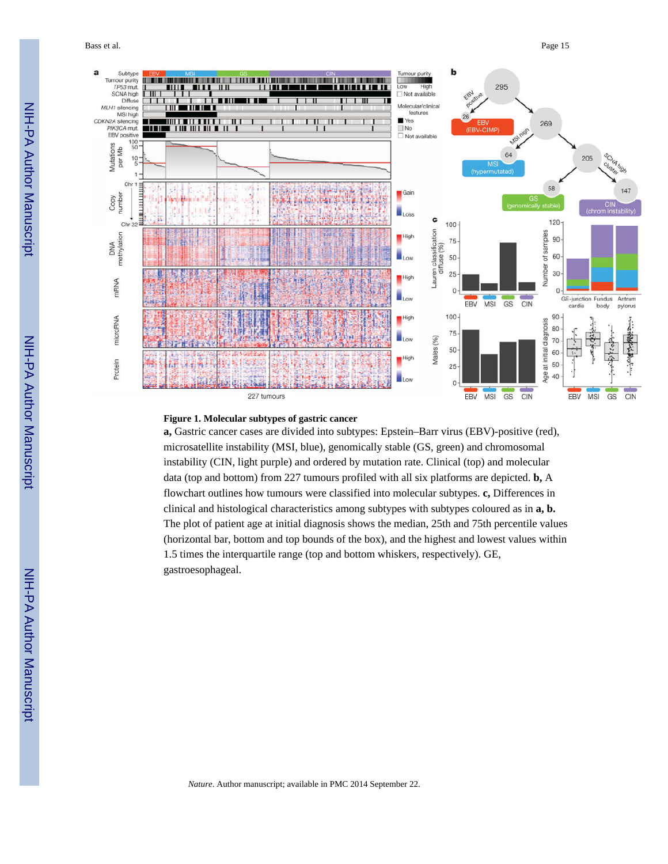Bass et al. Page 15



#### **Figure 1. Molecular subtypes of gastric cancer**

**a,** Gastric cancer cases are divided into subtypes: Epstein–Barr virus (EBV)-positive (red), microsatellite instability (MSI, blue), genomically stable (GS, green) and chromosomal instability (CIN, light purple) and ordered by mutation rate. Clinical (top) and molecular data (top and bottom) from 227 tumours profiled with all six platforms are depicted. **b,** A flowchart outlines how tumours were classified into molecular subtypes. **c,** Differences in clinical and histological characteristics among subtypes with subtypes coloured as in **a, b.** The plot of patient age at initial diagnosis shows the median, 25th and 75th percentile values (horizontal bar, bottom and top bounds of the box), and the highest and lowest values within 1.5 times the interquartile range (top and bottom whiskers, respectively). GE, gastroesophageal.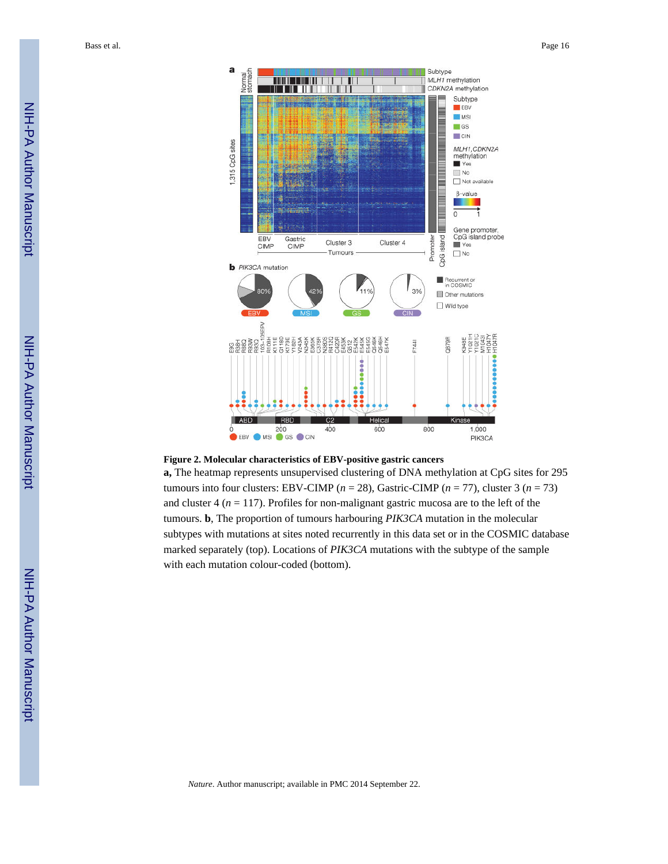



**a,** The heatmap represents unsupervised clustering of DNA methylation at CpG sites for 295 tumours into four clusters: EBV-CIMP ( $n = 28$ ), Gastric-CIMP ( $n = 77$ ), cluster 3 ( $n = 73$ ) and cluster  $4 (n = 117)$ . Profiles for non-malignant gastric mucosa are to the left of the tumours. **b**, The proportion of tumours harbouring *PIK3CA* mutation in the molecular subtypes with mutations at sites noted recurrently in this data set or in the COSMIC database marked separately (top). Locations of *PIK3CA* mutations with the subtype of the sample with each mutation colour-coded (bottom).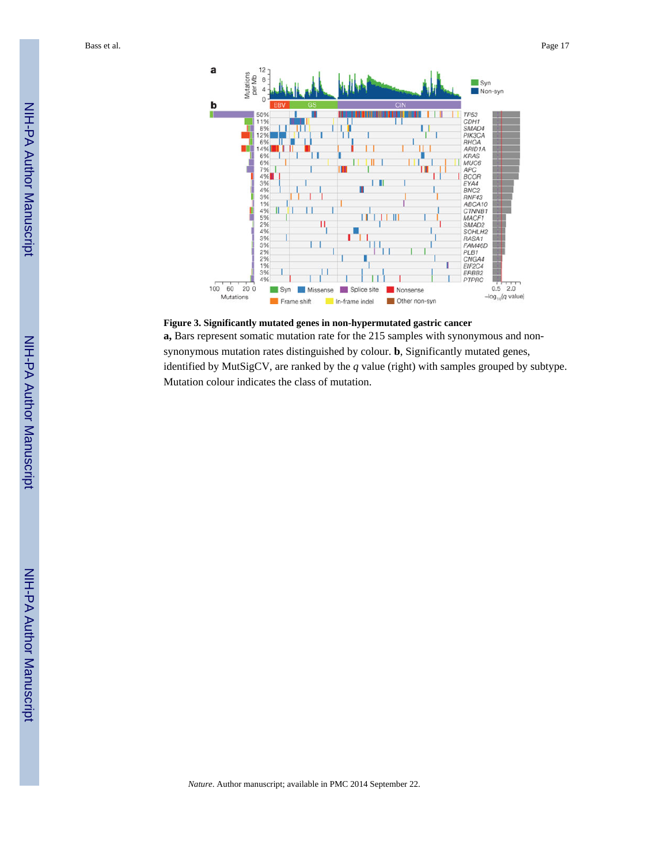

#### **Figure 3. Significantly mutated genes in non-hypermutated gastric cancer**

**a,** Bars represent somatic mutation rate for the 215 samples with synonymous and nonsynonymous mutation rates distinguished by colour. **b**, Significantly mutated genes, identified by MutSigCV, are ranked by the *q* value (right) with samples grouped by subtype. Mutation colour indicates the class of mutation.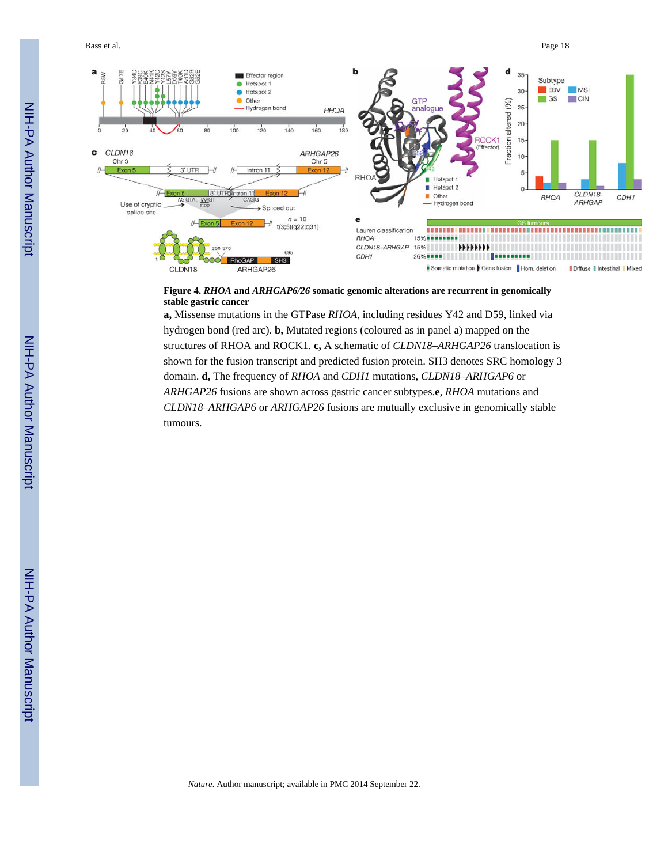

#### **Figure 4.** *RHOA* **and** *ARHGAP6/26* **somatic genomic alterations are recurrent in genomically stable gastric cancer**

**a,** Missense mutations in the GTPase *RHOA*, including residues Y42 and D59, linked via hydrogen bond (red arc). **b,** Mutated regions (coloured as in panel a) mapped on the structures of RHOA and ROCK1. **c,** A schematic of *CLDN18*–*ARHGAP26* translocation is shown for the fusion transcript and predicted fusion protein. SH3 denotes SRC homology 3 domain. **d,** The frequency of *RHOA* and *CDH1* mutations, *CLDN18*–*ARHGAP6* or *ARHGAP26* fusions are shown across gastric cancer subtypes.**e**, *RHOA* mutations and *CLDN18*–*ARHGAP6* or *ARHGAP26* fusions are mutually exclusive in genomically stable tumours.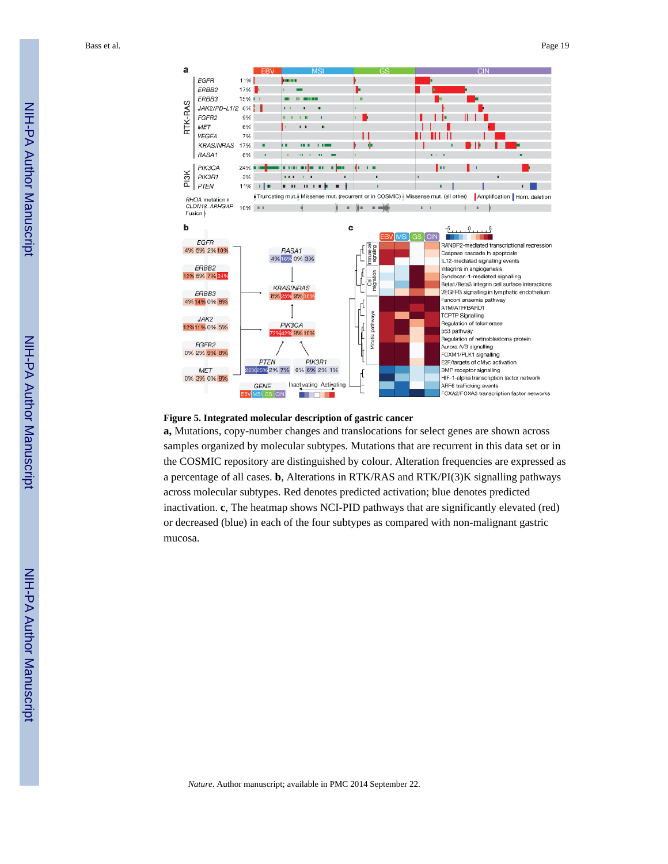

### **Figure 5. Integrated molecular description of gastric cancer**

**a,** Mutations, copy-number changes and translocations for select genes are shown across samples organized by molecular subtypes. Mutations that are recurrent in this data set or in the COSMIC repository are distinguished by colour. Alteration frequencies are expressed as a percentage of all cases. **b**, Alterations in RTK/RAS and RTK/PI(3)K signalling pathways across molecular subtypes. Red denotes predicted activation; blue denotes predicted inactivation. **c**, The heatmap shows NCI-PID pathways that are significantly elevated (red) or decreased (blue) in each of the four subtypes as compared with non-malignant gastric mucosa.